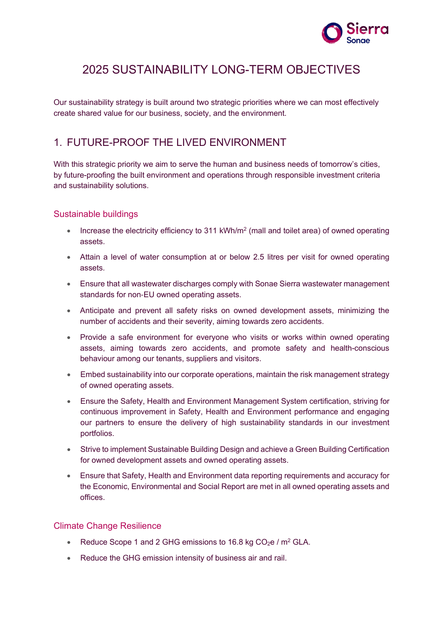

# 2025 SUSTAINABILITY LONG-TERM OBJECTIVES

Our sustainability strategy is built around two strategic priorities where we can most effectively create shared value for our business, society, and the environment.

# 1. FUTURE-PROOF THE LIVED ENVIRONMENT

With this strategic priority we aim to serve the human and business needs of tomorrow's cities, by future-proofing the built environment and operations through responsible investment criteria and sustainability solutions.

#### Sustainable buildings

- Increase the electricity efficiency to 311 kWh/m<sup>2</sup> (mall and toilet area) of owned operating assets.
- Attain a level of water consumption at or below 2.5 litres per visit for owned operating assets.
- Ensure that all wastewater discharges comply with Sonae Sierra wastewater management standards for non‐EU owned operating assets.
- Anticipate and prevent all safety risks on owned development assets, minimizing the number of accidents and their severity, aiming towards zero accidents.
- Provide a safe environment for everyone who visits or works within owned operating assets, aiming towards zero accidents, and promote safety and health-conscious behaviour among our tenants, suppliers and visitors.
- Embed sustainability into our corporate operations, maintain the risk management strategy of owned operating assets.
- Ensure the Safety, Health and Environment Management System certification, striving for continuous improvement in Safety, Health and Environment performance and engaging our partners to ensure the delivery of high sustainability standards in our investment portfolios.
- Strive to implement Sustainable Building Design and achieve a Green Building Certification for owned development assets and owned operating assets.
- Ensure that Safety, Health and Environment data reporting requirements and accuracy for the Economic, Environmental and Social Report are met in all owned operating assets and offices.

### Climate Change Resilience

- Reduce Scope 1 and 2 GHG emissions to 16.8 kg  $CO<sub>2</sub>e / m<sup>2</sup> GLA$ .
- Reduce the GHG emission intensity of business air and rail.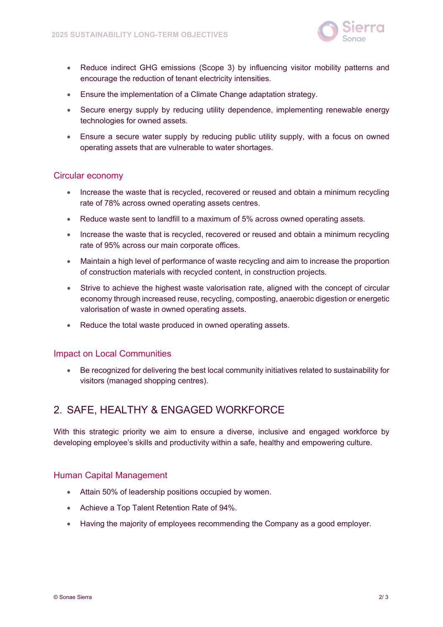

- Reduce indirect GHG emissions (Scope 3) by influencing visitor mobility patterns and encourage the reduction of tenant electricity intensities.
- Ensure the implementation of a Climate Change adaptation strategy.
- Secure energy supply by reducing utility dependence, implementing renewable energy technologies for owned assets.
- Ensure a secure water supply by reducing public utility supply, with a focus on owned operating assets that are vulnerable to water shortages.

#### Circular economy

- Increase the waste that is recycled, recovered or reused and obtain a minimum recycling rate of 78% across owned operating assets centres.
- Reduce waste sent to landfill to a maximum of 5% across owned operating assets.
- Increase the waste that is recycled, recovered or reused and obtain a minimum recycling rate of 95% across our main corporate offices.
- Maintain a high level of performance of waste recycling and aim to increase the proportion of construction materials with recycled content, in construction projects.
- Strive to achieve the highest waste valorisation rate, aligned with the concept of circular economy through increased reuse, recycling, composting, anaerobic digestion or energetic valorisation of waste in owned operating assets.
- Reduce the total waste produced in owned operating assets.

#### Impact on Local Communities

• Be recognized for delivering the best local community initiatives related to sustainability for visitors (managed shopping centres).

## 2. SAFE, HEALTHY & ENGAGED WORKFORCE

With this strategic priority we aim to ensure a diverse, inclusive and engaged workforce by developing employee's skills and productivity within a safe, healthy and empowering culture.

#### Human Capital Management

- Attain 50% of leadership positions occupied by women.
- Achieve a Top Talent Retention Rate of 94%.
- Having the majority of employees recommending the Company as a good employer.